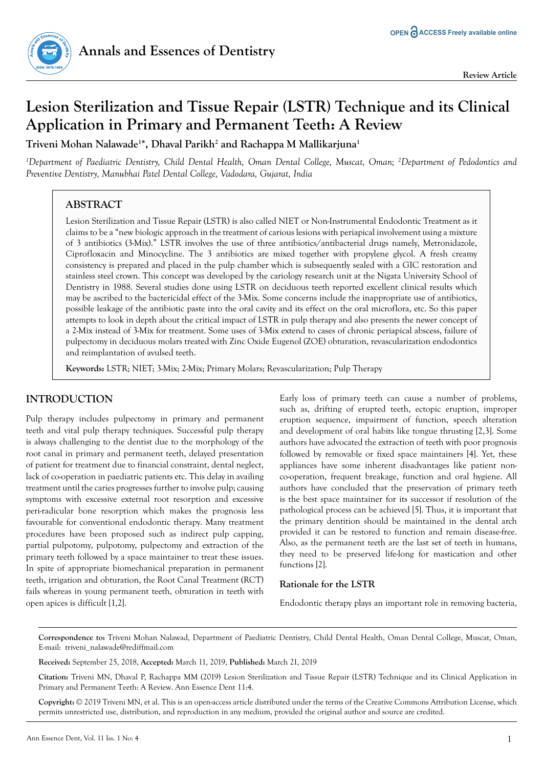

# **Lesion Sterilization and Tissue Repair (LSTR) Technique and its Clinical Application in Primary and Permanent Teeth: A Review**

**Triveni Mohan Nalawade1 \*, Dhaval Parikh2 and Rachappa M Mallikarjuna1**

*1 Department of Paediatric Dentistry, Child Dental Health, Oman Dental College, Muscat, Oman; 2 Department of Pedodontics and Preventive Dentistry, Manubhai Patel Dental College, Vadodara, Gujarat, India*

# **ABSTRACT**

Lesion Sterilization and Tissue Repair (LSTR) is also called NIET or Non-Instrumental Endodontic Treatment as it claims to be a "new biologic approach in the treatment of carious lesions with periapical involvement using a mixture of 3 antibiotics (3-Mix)." LSTR involves the use of three antibiotics/antibacterial drugs namely, Metronidazole, Ciprofloxacin and Minocycline. The 3 antibiotics are mixed together with propylene glycol. A fresh creamy consistency is prepared and placed in the pulp chamber which is subsequently sealed with a GIC restoration and stainless steel crown. This concept was developed by the cariology research unit at the Nigata University School of Dentistry in 1988. Several studies done using LSTR on deciduous teeth reported excellent clinical results which may be ascribed to the bactericidal effect of the 3-Mix. Some concerns include the inappropriate use of antibiotics, possible leakage of the antibiotic paste into the oral cavity and its effect on the oral microflora, etc. So this paper attempts to look in depth about the critical impact of LSTR in pulp therapy and also presents the newer concept of a 2-Mix instead of 3-Mix for treatment. Some uses of 3-Mix extend to cases of chronic periapical abscess, failure of pulpectomy in deciduous molars treated with Zinc Oxide Eugenol (ZOE) obturation, revascularization endodontics and reimplantation of avulsed teeth.

**Keywords:** LSTR; NIET; 3-Mix; 2-Mix; Primary Molars; Revascularization; Pulp Therapy

# **INTRODUCTION**

Pulp therapy includes pulpectomy in primary and permanent teeth and vital pulp therapy techniques. Successful pulp therapy is always challenging to the dentist due to the morphology of the root canal in primary and permanent teeth, delayed presentation of patient for treatment due to financial constraint, dental neglect, lack of co-operation in paediatric patients etc. This delay in availing treatment until the caries progresses further to involve pulp; causing symptoms with excessive external root resorption and excessive peri-radicular bone resorption which makes the prognosis less favourable for conventional endodontic therapy. Many treatment procedures have been proposed such as indirect pulp capping, partial pulpotomy, pulpotomy, pulpectomy and extraction of the primary teeth followed by a space maintainer to treat these issues. In spite of appropriate biomechanical preparation in permanent teeth, irrigation and obturation, the Root Canal Treatment (RCT) fails whereas in young permanent teeth, obturation in teeth with open apices is difficult [1,2].

Early loss of primary teeth can cause a number of problems, such as, drifting of erupted teeth, ectopic eruption, improper eruption sequence, impairment of function, speech alteration and development of oral habits like tongue thrusting [2,3]. Some authors have advocated the extraction of teeth with poor prognosis followed by removable or fixed space maintainers [4]. Yet, these appliances have some inherent disadvantages like patient nonco-operation, frequent breakage, function and oral hygiene. All authors have concluded that the preservation of primary teeth is the best space maintainer for its successor if resolution of the pathological process can be achieved [5]. Thus, it is important that the primary dentition should be maintained in the dental arch provided it can be restored to function and remain disease-free. Also, as the permanent teeth are the last set of teeth in humans, they need to be preserved life-long for mastication and other functions [2].

# **Rationale for the LSTR**

Endodontic therapy plays an important role in removing bacteria,

**Correspondence to:** Triveni Mohan Nalawad, Department of Paediatric Dentistry, Child Dental Health, Oman Dental College, Muscat, Oman, E-mail: triveni\_nalawade@rediffmail.com

**Received:** September 25, 2018, **Accepted:** March 11, 2019, **Published:** March 21, 2019

**Citation:** Triveni MN, Dhaval P, Rachappa MM (2019) Lesion Sterilization and Tissue Repair (LSTR) Technique and its Clinical Application in Primary and Permanent Teeth: A Review. Ann Essence Dent 11:4.

**Copyright:** © 2019 Triveni MN, et al. This is an open-access article distributed under the terms of the Creative Commons Attribution License, which permits unrestricted use, distribution, and reproduction in any medium, provided the original author and source are credited.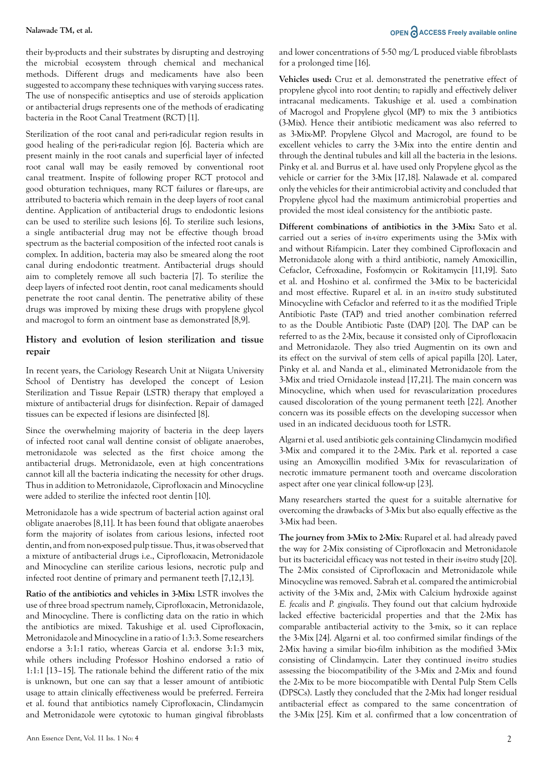their by-products and their substrates by disrupting and destroying the microbial ecosystem through chemical and mechanical methods. Different drugs and medicaments have also been suggested to accompany these techniques with varying success rates. The use of nonspecific antiseptics and use of steroids application or antibacterial drugs represents one of the methods of eradicating bacteria in the Root Canal Treatment (RCT) [1].

Sterilization of the root canal and peri-radicular region results in good healing of the peri-radicular region [6]. Bacteria which are present mainly in the root canals and superficial layer of infected root canal wall may be easily removed by conventional root canal treatment. Inspite of following proper RCT protocol and good obturation techniques, many RCT failures or flare-ups, are attributed to bacteria which remain in the deep layers of root canal dentine. Application of antibacterial drugs to endodontic lesions can be used to sterilize such lesions [6]. To sterilize such lesions, a single antibacterial drug may not be effective though broad spectrum as the bacterial composition of the infected root canals is complex. In addition, bacteria may also be smeared along the root canal during endodontic treatment. Antibacterial drugs should aim to completely remove all such bacteria [7]. To sterilize the deep layers of infected root dentin, root canal medicaments should penetrate the root canal dentin. The penetrative ability of these drugs was improved by mixing these drugs with propylene glycol and macrogol to form an ointment base as demonstrated [8,9].

# **History and evolution of lesion sterilization and tissue repair**

In recent years, the Cariology Research Unit at Niigata University School of Dentistry has developed the concept of Lesion Sterilization and Tissue Repair (LSTR) therapy that employed a mixture of antibacterial drugs for disinfection. Repair of damaged tissues can be expected if lesions are disinfected [8].

Since the overwhelming majority of bacteria in the deep layers of infected root canal wall dentine consist of obligate anaerobes, metronidazole was selected as the first choice among the antibacterial drugs. Metronidazole, even at high concentrations cannot kill all the bacteria indicating the necessity for other drugs. Thus in addition to Metronidazole, Ciprofloxacin and Minocycline were added to sterilize the infected root dentin [10].

Metronidazole has a wide spectrum of bacterial action against oral obligate anaerobes [8,11]. It has been found that obligate anaerobes form the majority of isolates from carious lesions, infected root dentin, and from non-exposed pulp tissue. Thus, it was observed that a mixture of antibacterial drugs i.e., Ciprofloxacin, Metronidazole and Minocycline can sterilize carious lesions, necrotic pulp and infected root dentine of primary and permanent teeth [7,12,13].

**Ratio of the antibiotics and vehicles in 3-Mix:** LSTR involves the use of three broad spectrum namely, Ciprofloxacin, Metronidazole, and Minocycline. There is conflicting data on the ratio in which the antibiotics are mixed. Takushige et al. used Ciprofloxacin, Metronidazole and Minocycline in a ratio of 1:3:3. Some researchers endorse a 3:1:1 ratio, whereas Garcia et al. endorse 3:1:3 mix, while others including Professor Hoshino endorsed a ratio of 1:1:1 [13–15]. The rationale behind the different ratio of the mix is unknown, but one can say that a lesser amount of antibiotic usage to attain clinically effectiveness would be preferred. Ferreira et al. found that antibiotics namely Ciprofloxacin, Clindamycin and Metronidazole were cytotoxic to human gingival fibroblasts

and lower concentrations of 5-50 mg/L produced viable fibroblasts for a prolonged time [16].

**Vehicles used:** Cruz et al. demonstrated the penetrative effect of propylene glycol into root dentin; to rapidly and effectively deliver intracanal medicaments. Takushige et al. used a combination of Macrogol and Propylene glycol (MP) to mix the 3 antibiotics (3-Mix). Hence their antibiotic medicament was also referred to as 3-Mix-MP. Propylene Glycol and Macrogol, are found to be excellent vehicles to carry the 3-Mix into the entire dentin and through the dentinal tubules and kill all the bacteria in the lesions. Pinky et al. and Burrus et al. have used only Propylene glycol as the vehicle or carrier for the 3-Mix [17,18]. Nalawade et al. compared only the vehicles for their antimicrobial activity and concluded that Propylene glycol had the maximum antimicrobial properties and provided the most ideal consistency for the antibiotic paste.

**Different combinations of antibiotics in the 3-Mix:** Sato et al. carried out a series of *in-vitro* experiments using the 3-Mix with and without Rifampicin. Later they combined Ciprofloxacin and Metronidazole along with a third antibiotic, namely Amoxicillin, Cefaclor, Cefroxadine, Fosfomycin or Rokitamycin [11,19]. Sato et al. and Hoshino et al. confirmed the 3-Mix to be bactericidal and most effective. Ruparel et al. in an *in-vitro* study substituted Minocycline with Cefaclor and referred to it as the modified Triple Antibiotic Paste (TAP) and tried another combination referred to as the Double Antibiotic Paste (DAP) [20]. The DAP can be referred to as the 2-Mix, because it consisted only of Ciprofloxacin and Metronidazole. They also tried Augmentin on its own and its effect on the survival of stem cells of apical papilla [20]. Later, Pinky et al. and Nanda et al., eliminated Metronidazole from the 3-Mix and tried Ornidazole instead [17,21]. The main concern was Minocycline, which when used for revascularization procedures caused discoloration of the young permanent teeth [22]. Another concern was its possible effects on the developing successor when used in an indicated deciduous tooth for LSTR.

Algarni et al. used antibiotic gels containing Clindamycin modified 3-Mix and compared it to the 2-Mix. Park et al. reported a case using an Amoxycillin modified 3-Mix for revascularization of necrotic immature permanent tooth and overcame discoloration aspect after one year clinical follow-up [23].

Many researchers started the quest for a suitable alternative for overcoming the drawbacks of 3-Mix but also equally effective as the 3-Mix had been.

**The journey from 3-Mix to 2-Mix**: Ruparel et al. had already paved the way for 2-Mix consisting of Ciprofloxacin and Metronidazole but its bactericidal efficacy was not tested in their *in-vitro* study [20]. The 2-Mix consisted of Ciprofloxacin and Metronidazole while Minocycline was removed. Sabrah et al. compared the antimicrobial activity of the 3-Mix and, 2-Mix with Calcium hydroxide against *E. fecalis* and *P. gingivalis*. They found out that calcium hydroxide lacked effective bactericidal properties and that the 2-Mix has comparable antibacterial activity to the 3-mix, so it can replace the 3-Mix [24]. Algarni et al. too confirmed similar findings of the 2-Mix having a similar bio-film inhibition as the modified 3-Mix consisting of Clindamycin. Later they continued *in-vitro* studies assessing the biocompatibility of the 3-Mix and 2-Mix and found the 2-Mix to be more biocompatible with Dental Pulp Stem Cells (DPSCs). Lastly they concluded that the 2-Mix had longer residual antibacterial effect as compared to the same concentration of the 3-Mix [25]. Kim et al. confirmed that a low concentration of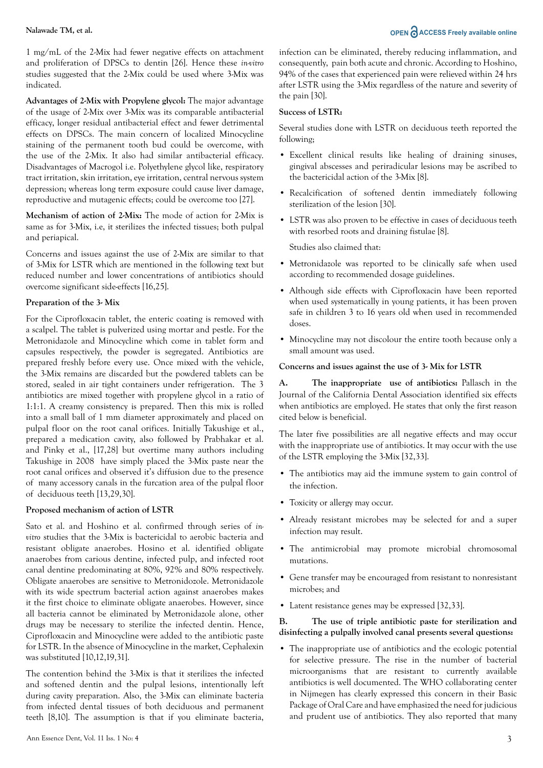# **Nalawade TM, et al. OPEN ACCESS Freely available online**

1 mg/mL of the 2-Mix had fewer negative effects on attachment and proliferation of DPSCs to dentin [26]. Hence these *in-vitro* studies suggested that the 2-Mix could be used where 3-Mix was indicated.

**Advantages of 2-Mix with Propylene glycol:** The major advantage of the usage of 2-Mix over 3-Mix was its comparable antibacterial efficacy, longer residual antibacterial effect and fewer detrimental effects on DPSCs. The main concern of localized Minocycline staining of the permanent tooth bud could be overcome, with the use of the 2-Mix. It also had similar antibacterial efficacy. Disadvantages of Macrogol i.e. Polyethylene glycol like, respiratory tract irritation, skin irritation, eye irritation, central nervous system depression; whereas long term exposure could cause liver damage, reproductive and mutagenic effects; could be overcome too [27].

**Mechanism of action of 2-Mix:** The mode of action for 2-Mix is same as for 3-Mix, i.e, it sterilizes the infected tissues; both pulpal and periapical.

Concerns and issues against the use of 2-Mix are similar to that of 3-Mix for LSTR which are mentioned in the following text but reduced number and lower concentrations of antibiotics should overcome significant side-effects [16,25].

### **Preparation of the 3- Mix**

For the Ciprofloxacin tablet, the enteric coating is removed with a scalpel. The tablet is pulverized using mortar and pestle. For the Metronidazole and Minocycline which come in tablet form and capsules respectively, the powder is segregated. Antibiotics are prepared freshly before every use. Once mixed with the vehicle, the 3-Mix remains are discarded but the powdered tablets can be stored, sealed in air tight containers under refrigeration. The 3 antibiotics are mixed together with propylene glycol in a ratio of 1:1:1. A creamy consistency is prepared. Then this mix is rolled into a small ball of 1 mm diameter approximately and placed on pulpal floor on the root canal orifices. Initially Takushige et al., prepared a medication cavity, also followed by Prabhakar et al. and Pinky et al., [17,28] but overtime many authors including Takushige in 2008 have simply placed the 3-Mix paste near the root canal orifices and observed it's diffusion due to the presence of many accessory canals in the furcation area of the pulpal floor of deciduous teeth [13,29,30].

#### **Proposed mechanism of action of LSTR**

Sato et al. and Hoshino et al. confirmed through series of *invitro* studies that the 3-Mix is bactericidal to aerobic bacteria and resistant obligate anaerobes. Hosino et al. identified obligate anaerobes from carious dentine, infected pulp, and infected root canal dentine predominating at 80%, 92% and 80% respectively. Obligate anaerobes are sensitive to Metronidozole. Metronidazole with its wide spectrum bacterial action against anaerobes makes it the first choice to eliminate obligate anaerobes. However, since all bacteria cannot be eliminated by Metronidazole alone, other drugs may be necessary to sterilize the infected dentin. Hence, Ciprofloxacin and Minocycline were added to the antibiotic paste for LSTR. In the absence of Minocycline in the market, Cephalexin was substituted [10,12,19,31].

The contention behind the 3-Mix is that it sterilizes the infected and softened dentin and the pulpal lesions, intentionally left during cavity preparation. Also, the 3-Mix can eliminate bacteria from infected dental tissues of both deciduous and permanent teeth [8,10]. The assumption is that if you eliminate bacteria, infection can be eliminated, thereby reducing inflammation, and consequently, pain both acute and chronic. According to Hoshino, 94% of the cases that experienced pain were relieved within 24 hrs after LSTR using the 3-Mix regardless of the nature and severity of the pain [30].

#### **Success of LSTR:**

Several studies done with LSTR on deciduous teeth reported the following;

- Excellent clinical results like healing of draining sinuses, gingival abscesses and periradicular lesions may be ascribed to the bactericidal action of the 3-Mix [8].
- Recalcification of softened dentin immediately following sterilization of the lesion [30].
- LSTR was also proven to be effective in cases of deciduous teeth with resorbed roots and draining fistulae [8].

Studies also claimed that:

- Metronidazole was reported to be clinically safe when used according to recommended dosage guidelines.
- Although side effects with Ciprofloxacin have been reported when used systematically in young patients, it has been proven safe in children 3 to 16 years old when used in recommended doses.
- Minocycline may not discolour the entire tooth because only a small amount was used.

### **Concerns and issues against the use of 3- Mix for LSTR**

**A. The inappropriate use of antibiotics:** Pallasch in the Journal of the California Dental Association identified six effects when antibiotics are employed. He states that only the first reason cited below is beneficial.

The later five possibilities are all negative effects and may occur with the inappropriate use of antibiotics. It may occur with the use of the LSTR employing the 3-Mix [32,33].

- The antibiotics may aid the immune system to gain control of the infection.
- Toxicity or allergy may occur.
- Already resistant microbes may be selected for and a super infection may result.
- The antimicrobial may promote microbial chromosomal mutations.
- Gene transfer may be encouraged from resistant to nonresistant microbes; and
- Latent resistance genes may be expressed [32,33].

#### **B. The use of triple antibiotic paste for sterilization and disinfecting a pulpally involved canal presents several questions:**

• The inappropriate use of antibiotics and the ecologic potential for selective pressure. The rise in the number of bacterial microorganisms that are resistant to currently available antibiotics is well documented. The WHO collaborating center in Nijmegen has clearly expressed this concern in their Basic Package of Oral Care and have emphasized the need for judicious and prudent use of antibiotics. They also reported that many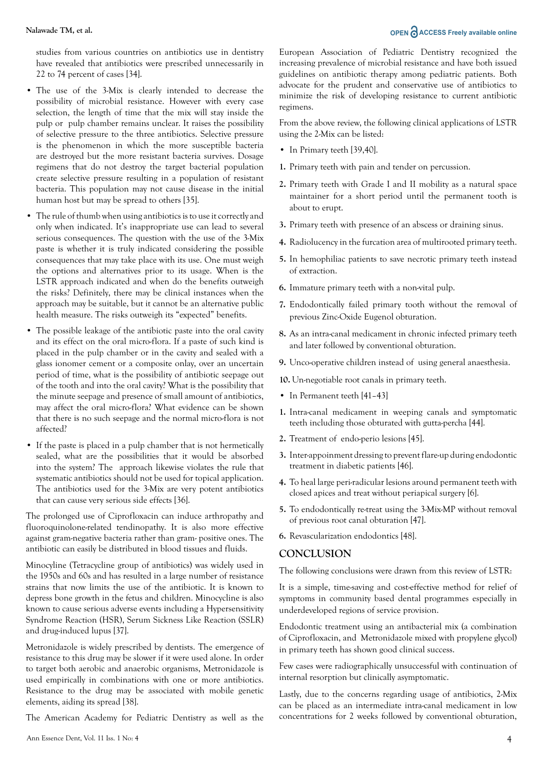# **Nalawade TM, et al. OPEN**  $\partial$  **ACCESS Freely available online**

studies from various countries on antibiotics use in dentistry have revealed that antibiotics were prescribed unnecessarily in 22 to 74 percent of cases [34].

- The use of the 3-Mix is clearly intended to decrease the possibility of microbial resistance. However with every case selection, the length of time that the mix will stay inside the pulp or pulp chamber remains unclear. It raises the possibility of selective pressure to the three antibiotics. Selective pressure is the phenomenon in which the more susceptible bacteria are destroyed but the more resistant bacteria survives. Dosage regimens that do not destroy the target bacterial population create selective pressure resulting in a population of resistant bacteria. This population may not cause disease in the initial human host but may be spread to others [35].
- The rule of thumb when using antibiotics is to use it correctly and only when indicated. It's inappropriate use can lead to several serious consequences. The question with the use of the 3-Mix paste is whether it is truly indicated considering the possible consequences that may take place with its use. One must weigh the options and alternatives prior to its usage. When is the LSTR approach indicated and when do the benefits outweigh the risks? Definitely, there may be clinical instances when the approach may be suitable, but it cannot be an alternative public health measure. The risks outweigh its "expected" benefits.
- The possible leakage of the antibiotic paste into the oral cavity and its effect on the oral micro-flora. If a paste of such kind is placed in the pulp chamber or in the cavity and sealed with a glass ionomer cement or a composite onlay, over an uncertain period of time, what is the possibility of antibiotic seepage out of the tooth and into the oral cavity? What is the possibility that the minute seepage and presence of small amount of antibiotics, may affect the oral micro-flora? What evidence can be shown that there is no such seepage and the normal micro-flora is not affected?
- If the paste is placed in a pulp chamber that is not hermetically sealed, what are the possibilities that it would be absorbed into the system? The approach likewise violates the rule that systematic antibiotics should not be used for topical application. The antibiotics used for the 3-Mix are very potent antibiotics that can cause very serious side effects [36].

The prolonged use of Ciprofloxacin can induce arthropathy and fluoroquinolone-related tendinopathy. It is also more effective against gram-negative bacteria rather than gram- positive ones. The antibiotic can easily be distributed in blood tissues and fluids.

Minocyline (Tetracycline group of antibiotics) was widely used in the 1950s and 60s and has resulted in a large number of resistance strains that now limits the use of the antibiotic. It is known to depress bone growth in the fetus and children. Minocycline is also known to cause serious adverse events including a Hypersensitivity Syndrome Reaction (HSR), Serum Sickness Like Reaction (SSLR) and drug-induced lupus [37].

Metronidazole is widely prescribed by dentists. The emergence of resistance to this drug may be slower if it were used alone. In order to target both aerobic and anaerobic organisms, Metronidazole is used empirically in combinations with one or more antibiotics. Resistance to the drug may be associated with mobile genetic elements, aiding its spread [38].

The American Academy for Pediatric Dentistry as well as the

European Association of Pediatric Dentistry recognized the increasing prevalence of microbial resistance and have both issued guidelines on antibiotic therapy among pediatric patients. Both advocate for the prudent and conservative use of antibiotics to minimize the risk of developing resistance to current antibiotic regimens.

From the above review, the following clinical applications of LSTR using the 2-Mix can be listed:

- In Primary teeth [39,40].
- **1.** Primary teeth with pain and tender on percussion.
- **2.** Primary teeth with Grade I and II mobility as a natural space maintainer for a short period until the permanent tooth is about to erupt.
- **3.** Primary teeth with presence of an abscess or draining sinus.
- **4.** Radiolucency in the furcation area of multirooted primary teeth.
- **5.** In hemophiliac patients to save necrotic primary teeth instead of extraction.
- **6.** Immature primary teeth with a non-vital pulp.
- **7.** Endodontically failed primary tooth without the removal of previous Zinc-Oxide Eugenol obturation.
- **8.** As an intra-canal medicament in chronic infected primary teeth and later followed by conventional obturation.
- **9.** Unco-operative children instead of using general anaesthesia.

**10.** Un-negotiable root canals in primary teeth.

- In Permanent teeth [41-43]
- **1.** Intra-canal medicament in weeping canals and symptomatic teeth including those obturated with gutta-percha [44].
- **2.** Treatment of endo-perio lesions [45].
- **3.** Inter-appoinment dressing to prevent flare-up during endodontic treatment in diabetic patients [46].
- **4.** To heal large peri-radicular lesions around permanent teeth with closed apices and treat without periapical surgery [6].
- **5.** To endodontically re-treat using the 3-Mix-MP without removal of previous root canal obturation [47].
- **6.** Revascularization endodontics [48].

### **CONCLUSION**

The following conclusions were drawn from this review of LSTR:

It is a simple, time-saving and cost-effective method for relief of symptoms in community based dental programmes especially in underdeveloped regions of service provision.

Endodontic treatment using an antibacterial mix (a combination of Ciprofloxacin, and Metronidazole mixed with propylene glycol) in primary teeth has shown good clinical success.

Few cases were radiographically unsuccessful with continuation of internal resorption but clinically asymptomatic.

Lastly, due to the concerns regarding usage of antibiotics, 2-Mix can be placed as an intermediate intra-canal medicament in low concentrations for 2 weeks followed by conventional obturation,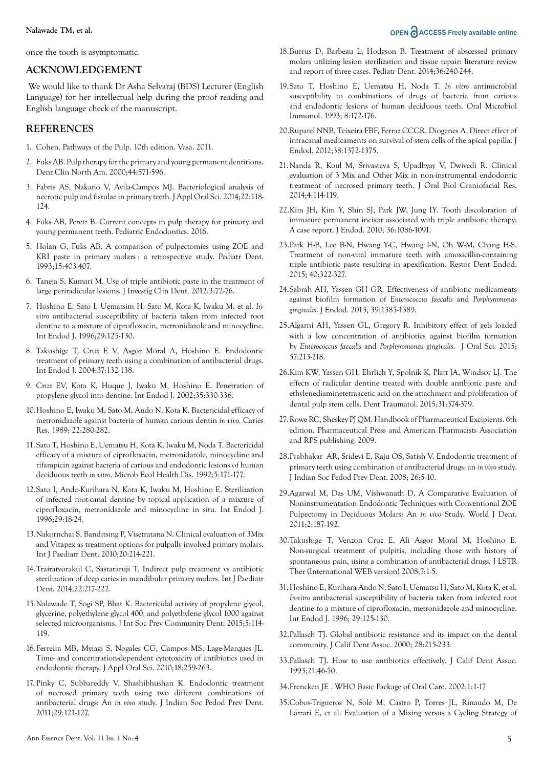**Nalawade TM, et al. OPEN ACCESS Freely available online** 

once the tooth is asymptomatic.

### **ACKNOWLEDGEMENT**

 We would like to thank Dr Asha Selvaraj (BDS) Lecturer (English Language) for her intellectual help during the proof reading and English language check of the manuscript.

# **REFERENCES**

- 1. Cohen. Pathways of the Pulp. 10th edition. Vasa. 2011.
- 2. Fuks AB. Pulp therapy for the primary and young permanent dentitions. Dent Clin North Am. 2000;44:571-596.
- 3. Fabris AS, Nakano V, Avila-Campos MJ. Bacteriological analysis of necrotic pulp and fistulae in primary teeth. J Appl Oral Sci. 2014;22:118- 124.
- 4. Fuks AB, Peretz B. Current concepts in pulp therapy for primary and young permanent teeth. Pediatric Endodontics. 2016.
- 5. Holan G, Fuks AB. A comparison of pulpectomies using ZOE and KRI paste in primary molars : a retrospective study. Pediatr Dent. 1993;15:403-407.
- 6. Taneja S, Kumari M. Use of triple antibiotic paste in the treatment of large periradicular lesions. J Investig Clin Dent. 2012;3:72-76.
- 7. Hoshino E, Sato I, Uematsim H, Sato M, Kota K, Iwaku M, et al. *Invitro* antibacterial susceptibility of bacteria taken from infected root dentine to a mixture of ciprofloxacin, metronidazole and minocycline. Int Endod J. 1996;29:125-130.
- 8. Takushige T, Cruz E V, Asgor Moral A, Hoshino E. Endodontic treatment of primary teeth using a combination of antibacterial drugs. Int Endod J. 2004;37:132-138.
- 9. Cruz EV, Kota K, Huque J, Iwaku M, Hoshino E. Penetration of propylene glycol into dentine. Int Endod J. 2002;35:330-336.
- 10.Hoshino E, Iwaku M, Sato M, Ando N, Kota K. Bactericidal efficacy of metronidazole against bacteria of human carious dentin *in vivo.* Caries Res. 1989; 22:280-282.
- 11.Sato T, Hoshino E, Uematsu H, Kota K, Iwaku M, Noda T. Bactericidal efficacy of a mixture of ciprofloxacin, metronidazole, minocycline and rifampicin against bacteria of carious and endodontic lesions of human deciduous teeth *in vitro*. Microb Ecol Health Dis. 1992;5:171-177.
- 12.Sato I, Ando-Kurihara N, Kota K, Iwaku M, Hoshino E. Sterilization of infected root-canal dentine by topical application of a mixture of ciprofloxacin, metronidazole and minocycline in situ. Int Endod J. 1996;29:18-24.
- 13.Nakornchai S, Banditsing P, Visetratana N. Clinical evaluation of 3Mix and Vitapex as treatment options for pulpally involved primary molars. Int J Paediatr Dent. 2010;20:214-221.
- 14.Trairatvorakul C, Sastararuji T. Indirect pulp treatment vs antibiotic sterilization of deep caries in mandibular primary molars. Int J Paediatr Dent. 2014;22:217-222.
- 15.Nalawade T, Sogi SP, Bhat K. Bactericidal activity of propylene glycol, glycerine, polyethylene glycol 400, and polyethylene glycol 1000 against selected microorganisms. J Int Soc Prev Community Dent. 2015;5:114- 119.
- 16.Ferreira MB, Myiagi S, Nogales CG, Campos MS, Lage-Marques JL. Time- and concentration-dependent cytotoxicity of antibiotics used in endodontic therapy. J Appl Oral Sci. 2010;18:259-263.
- 17. Pinky C, Subbareddy V, Shashibhushan K. Endodontic treatment of necrosed primary teeth using two different combinations of antibacterial drugs: An *in vivo* study. J Indian Soc Pedod Prev Dent. 2011;29:121-127.
- 19.Sato T, Hoshino E, Uematsu H, Noda T. *In vitro* antimicrobial susceptibility to combinations of drugs of bacteria from carious and endodontic lesions of human deciduous teeth. Oral Microbiol Immunol. 1993; 8:172-176.
- 20.Ruparel NNB, Teixeira FBF, Ferraz CCCR, Diogenes A. Direct effect of intracanal medicaments on survival of stem cells of the apical papilla. J Endod. 2012;38:1372-1375.
- 21.Nanda R, Koul M, Srivastava S, Upadhyay V, Dwivedi R. Clinical evaluation of 3 Mix and Other Mix in non-instrumental endodontic treatment of necrosed primary teeth. J Oral Biol Craniofacial Res. 2014;4:114-119.
- 22.Kim JH, Kim Y, Shin SJ, Park JW, Jung IY. Tooth discoloration of immature permanent incisor associated with triple antibiotic therapy: A case report. J Endod. 2010; 36:1086-1091.
- 23.Park H-B, Lee B-N, Hwang Y-C, Hwang I-N, Oh W-M, Chang H-S. Treatment of non-vital immature teeth with amoxicillin-containing triple antibiotic paste resulting in apexification. Restor Dent Endod. 2015; 40:322-327.
- 24.Sabrah AH, Yassen GH GR. Effectiveness of antibiotic medicaments against biofilm formation of *Enterococcus faecalis* and *Porphyromonas gingivalis*. J Endod. 2013; 39:1385-1389.
- 25.Algarni AH, Yassen GL, Gregory R. Inhibitory effect of gels loaded with a low concentration of antibiotics against biofilm formation by *Enterococcus faecalis* and *Porphyromonas gingivalis*. J Oral Sci. 2015; 57:213-218.
- 26.Kim KW, Yassen GH, Ehrlich Y, Spolnik K, Platt JA, Windsor LJ. The effects of radicular dentine treated with double antibiotic paste and ethylenediaminetetraacetic acid on the attachment and proliferation of dental pulp stem cells. Dent Traumatol. 2015;31:374-379.
- 27.Rowe RC, Sheskey PJ QM. Handbook of Pharmaceutical Excipients. 6th edition. Pharmaceutical Press and American Pharmacists Association and RPS publishing. 2009.
- 28.Prabhakar AR, Sridevi E, Raju OS, Satish V. Endodontic treatment of primary teeth using combination of antibacterial drugs: an *in vivo* study. J Indian Soc Pedod Prev Dent. 2008; 26:5-10.
- 29.Agarwal M, Das UM, Vishwanath D. A Comparative Evaluation of Noninstrumentation Endodontic Techniques with Conventional ZOE Pulpectomy in Deciduous Molars: An *in vivo* Study. World J Dent. 2011;2:187-192.
- 30.Takushige T, Venzon Cruz E, Ali Asgor Moral M, Hoshino E. Non-surgical treatment of pulpitis, including those with history of spontaneous pain, using a combination of antibacterial drugs. J LSTR Ther (International WEB version) 2008;7:1-5.
- 31.Hoshino E, Kurihara-Ando N, Sato I, Uematsu H, Sato M, Kota K, et al. *In-vitro* antibacterial susceptibility of bacteria taken from infected root dentine to a mixture of ciprofloxacin, metronidazole and minocycline. Int Endod J. 1996; 29:125-130.
- 32.Pallasch TJ. Global antibiotic resistance and its impact on the dental community. J Calif Dent Assoc. 2000; 28:215-233.
- 33.Pallasch TJ. How to use antibiotics effectively. J Calif Dent Assoc. 1993;21:46-50.
- 34.Frencken JE . WHO Basic Package of Oral Care. 2002;1:1-17
- 35.Cobos-Trigueros N, Solé M, Castro P, Torres JL, Rinaudo M, De Lazzari E, et al. Evaluation of a Mixing versus a Cycling Strategy of